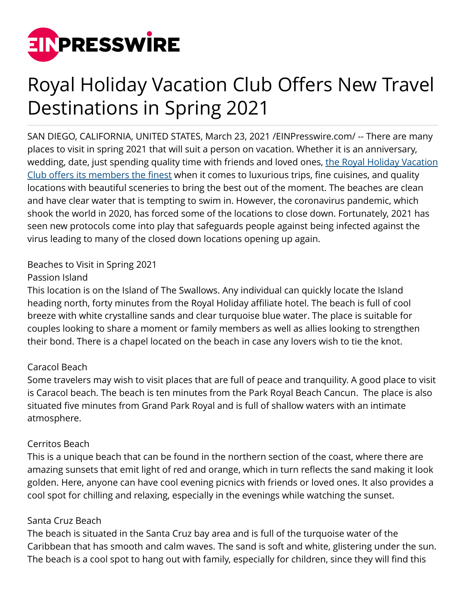

# Royal Holiday Vacation Club Offers New Travel Destinations in Spring 2021

SAN DIEGO, CALIFORNIA, UNITED STATES, March 23, 2021 /[EINPresswire.com/](http://www.einpresswire.com) -- There are many places to visit in spring 2021 that will suit a person on vacation. Whether it is an anniversary, wedding, date, just spending quality time with friends and loved ones, [the Royal Holiday Vacation](https://www.luxurytravelmagazine.com/news-articles/royal-holiday-vacation-club-expanding-to-exciting-new-destinations-worldwide) [Club offers its members the finest](https://www.luxurytravelmagazine.com/news-articles/royal-holiday-vacation-club-expanding-to-exciting-new-destinations-worldwide) when it comes to luxurious trips, fine cuisines, and quality locations with beautiful sceneries to bring the best out of the moment. The beaches are clean and have clear water that is tempting to swim in. However, the coronavirus pandemic, which shook the world in 2020, has forced some of the locations to close down. Fortunately, 2021 has seen new protocols come into play that safeguards people against being infected against the virus leading to many of the closed down locations opening up again.

## Beaches to Visit in Spring 2021

### Passion Island

This location is on the Island of The Swallows. Any individual can quickly locate the Island heading north, forty minutes from the Royal Holiday affiliate hotel. The beach is full of cool breeze with white crystalline sands and clear turquoise blue water. The place is suitable for couples looking to share a moment or family members as well as allies looking to strengthen their bond. There is a chapel located on the beach in case any lovers wish to tie the knot.

## Caracol Beach

Some travelers may wish to visit places that are full of peace and tranquility. A good place to visit is Caracol beach. The beach is ten minutes from the Park Royal Beach Cancun. The place is also situated five minutes from Grand Park Royal and is full of shallow waters with an intimate atmosphere.

## Cerritos Beach

This is a unique beach that can be found in the northern section of the coast, where there are amazing sunsets that emit light of red and orange, which in turn reflects the sand making it look golden. Here, anyone can have cool evening picnics with friends or loved ones. It also provides a cool spot for chilling and relaxing, especially in the evenings while watching the sunset.

## Santa Cruz Beach

The beach is situated in the Santa Cruz bay area and is full of the turquoise water of the Caribbean that has smooth and calm waves. The sand is soft and white, glistering under the sun. The beach is a cool spot to hang out with family, especially for children, since they will find this